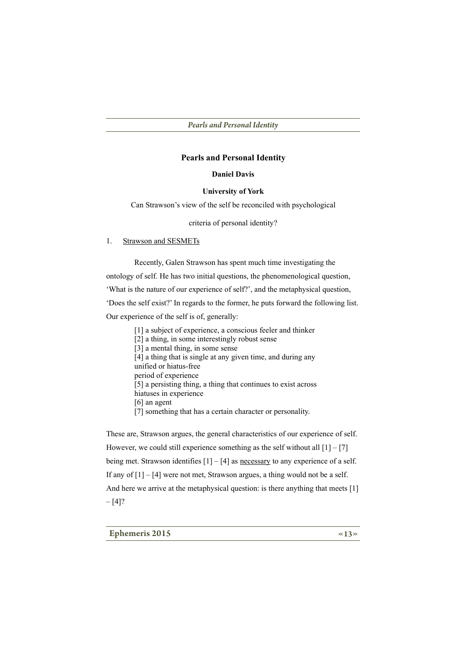#### **Daniel Davis**

#### **University of York**

Can Strawson's view of the self be reconciled with psychological

criteria of personal identity?

#### **Strawson and SESMETs**  $1.$

Recently, Galen Strawson has spent much time investigating the ontology of self. He has two initial questions, the phenomenological question, 'What is the nature of our experience of self?', and the metaphysical question, 'Does the self exist?' In regards to the former, he puts forward the following list. Our experience of the self is of, generally:

- [1] a subject of experience, a conscious feeler and thinker
- [2] a thing, in some interestingly robust sense
- [3] a mental thing, in some sense
- [4] a thing that is single at any given time, and during any
- unified or hiatus-free
- period of experience

[5] a persisting thing, a thing that continues to exist across

- hiatuses in experience
- $[6]$  an agent
- [7] something that has a certain character or personality.

These are, Strawson argues, the general characteristics of our experience of self. However, we could still experience something as the self without all  $[1] - [7]$ being met. Strawson identifies  $[1] - [4]$  as necessary to any experience of a self. If any of  $[1] - [4]$  were not met, Strawson argues, a thing would not be a self. And here we arrive at the metaphysical question: is there anything that meets [1]  $-[4]$ ?

**Ephemeris 2015**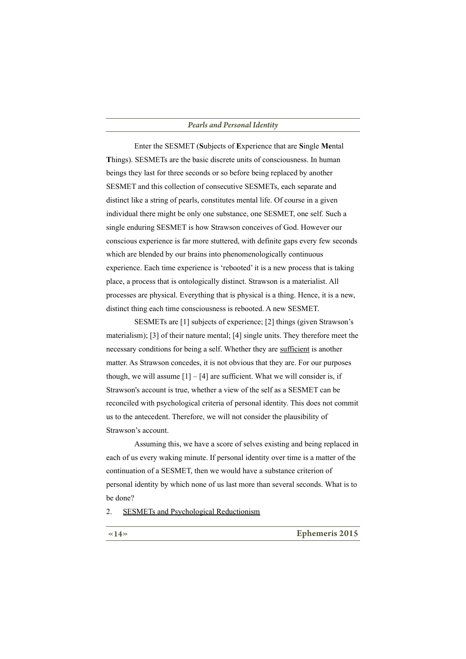Enter the SESMET (Subjects of Experience that are Single Mental Things). SESMETs are the basic discrete units of consciousness. In human beings they last for three seconds or so before being replaced by another SESMET and this collection of consecutive SESMETs, each separate and distinct like a string of pearls, constitutes mental life. Of course in a given individual there might be only one substance, one SESMET, one self. Such a single enduring SESMET is how Strawson conceives of God. However our conscious experience is far more stuttered, with definite gaps every few seconds which are blended by our brains into phenomenologically continuous experience. Each time experience is 'rebooted' it is a new process that is taking place, a process that is ontologically distinct. Strawson is a materialist. All processes are physical. Everything that is physical is a thing. Hence, it is a new, distinct thing each time consciousness is rebooted. A new SESMET.

SESMETs are [1] subjects of experience; [2] things (given Strawson's materialism); [3] of their nature mental; [4] single units. They therefore meet the necessary conditions for being a self. Whether they are sufficient is another matter. As Strawson concedes, it is not obvious that they are. For our purposes though, we will assume  $[1] - [4]$  are sufficient. What we will consider is, if Strawson's account is true, whether a view of the self as a SESMET can be reconciled with psychological criteria of personal identity. This does not commit us to the antecedent. Therefore, we will not consider the plausibility of Strawson's account.

Assuming this, we have a score of selves existing and being replaced in each of us every waking minute. If personal identity over time is a matter of the continuation of a SESMET, then we would have a substance criterion of personal identity by which none of us last more than several seconds. What is to be done?

 $\overline{2}$ . **SESMETs and Psychological Reductionism** 

**Ephemeris 2015**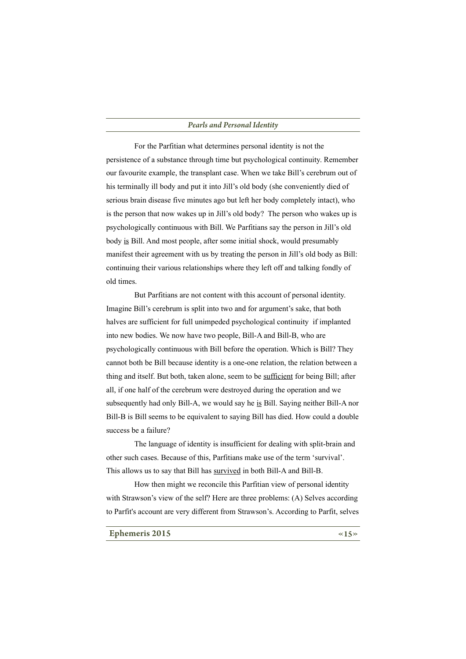For the Parfitian what determines personal identity is not the persistence of a substance through time but psychological continuity. Remember our favourite example, the transplant case. When we take Bill's cerebrum out of his terminally ill body and put it into Jill's old body (she conveniently died of serious brain disease five minutes ago but left her body completely intact), who is the person that now wakes up in Jill's old body? The person who wakes up is psychologically continuous with Bill. We Parfitians say the person in Jill's old body is Bill. And most people, after some initial shock, would presumably manifest their agreement with us by treating the person in Jill's old body as Bill: continuing their various relationships where they left off and talking fondly of old times.

But Parfitians are not content with this account of personal identity. Imagine Bill's cerebrum is split into two and for argument's sake, that both halves are sufficient for full unimpeded psychological continuity if implanted into new bodies. We now have two people, Bill-A and Bill-B, who are psychologically continuous with Bill before the operation. Which is Bill? They cannot both be Bill because identity is a one-one relation, the relation between a thing and itself. But both, taken alone, seem to be sufficient for being Bill; after all, if one half of the cerebrum were destroyed during the operation and we subsequently had only Bill-A, we would say he is Bill. Saying neither Bill-A nor Bill-B is Bill seems to be equivalent to saying Bill has died. How could a double success be a failure?

The language of identity is insufficient for dealing with split-brain and other such cases. Because of this, Parfitians make use of the term 'survival'. This allows us to say that Bill has survived in both Bill-A and Bill-B.

How then might we reconcile this Parfitian view of personal identity with Strawson's view of the self? Here are three problems: (A) Selves according to Parfit's account are very different from Strawson's. According to Parfit, selves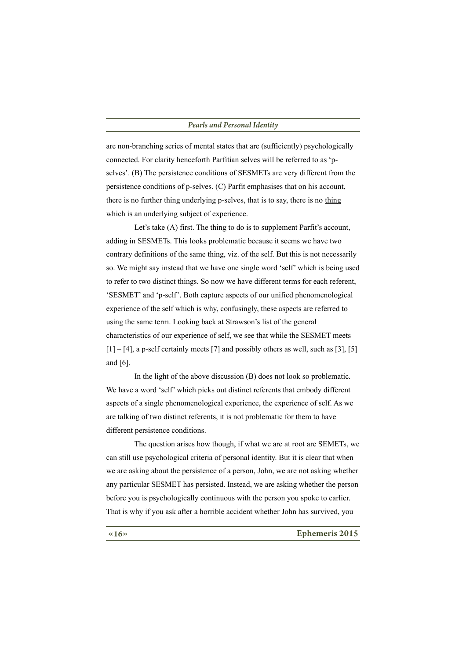are non-branching series of mental states that are (sufficiently) psychologically connected. For clarity henceforth Parfitian selves will be referred to as 'pselves'. (B) The persistence conditions of SESMETs are very different from the persistence conditions of p-selves. (C) Parfit emphasises that on his account. there is no further thing underlying p-selves, that is to say, there is no thing which is an underlying subject of experience.

Let's take (A) first. The thing to do is to supplement Parfit's account, adding in SESMETs. This looks problematic because it seems we have two contrary definitions of the same thing, viz. of the self. But this is not necessarily so. We might say instead that we have one single word 'self' which is being used to refer to two distinct things. So now we have different terms for each referent, 'SESMET' and 'p-self'. Both capture aspects of our unified phenomenological experience of the self which is why, confusingly, these aspects are referred to using the same term. Looking back at Strawson's list of the general characteristics of our experience of self, we see that while the SESMET meets  $[1] - [4]$ , a p-self certainly meets [7] and possibly others as well, such as [3], [5] and  $[6]$ .

In the light of the above discussion (B) does not look so problematic. We have a word 'self' which picks out distinct referents that embody different aspects of a single phenomenological experience, the experience of self. As we are talking of two distinct referents, it is not problematic for them to have different persistence conditions.

The question arises how though, if what we are at root are SEMETs, we can still use psychological criteria of personal identity. But it is clear that when we are asking about the persistence of a person, John, we are not asking whether any particular SESMET has persisted. Instead, we are asking whether the person before you is psychologically continuous with the person you spoke to earlier. That is why if you ask after a horrible accident whether John has survived, you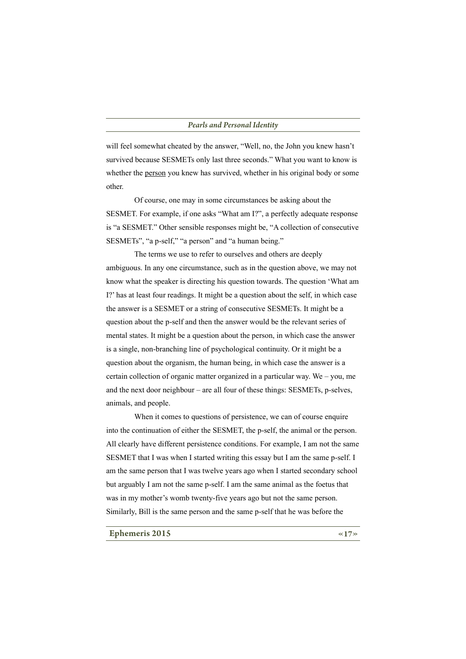will feel somewhat cheated by the answer, "Well, no, the John you knew hasn't survived because SESMETs only last three seconds." What you want to know is whether the person you knew has survived, whether in his original body or some other

Of course, one may in some circumstances be asking about the SESMET. For example, if one asks "What am I?", a perfectly adequate response is "a SESMET." Other sensible responses might be, "A collection of consecutive SESMETs", "a p-self," "a person" and "a human being."

The terms we use to refer to ourselves and others are deeply ambiguous. In any one circumstance, such as in the question above, we may not know what the speaker is directing his question towards. The question 'What am I?' has at least four readings. It might be a question about the self, in which case the answer is a SESMET or a string of consecutive SESMETs. It might be a question about the p-self and then the answer would be the relevant series of mental states. It might be a question about the person, in which case the answer is a single, non-branching line of psychological continuity. Or it might be a question about the organism, the human being, in which case the answer is a certain collection of organic matter organized in a particular way. We – you, me and the next door neighbour – are all four of these things: SESMETs, p-selves, animals, and people.

When it comes to questions of persistence, we can of course enquire into the continuation of either the SESMET, the p-self, the animal or the person. All clearly have different persistence conditions. For example, I am not the same SESMET that I was when I started writing this essay but I am the same p-self. I am the same person that I was twelve years ago when I started secondary school but arguably I am not the same p-self. I am the same animal as the foetus that was in my mother's womb twenty-five years ago but not the same person. Similarly. Bill is the same person and the same p-self that he was before the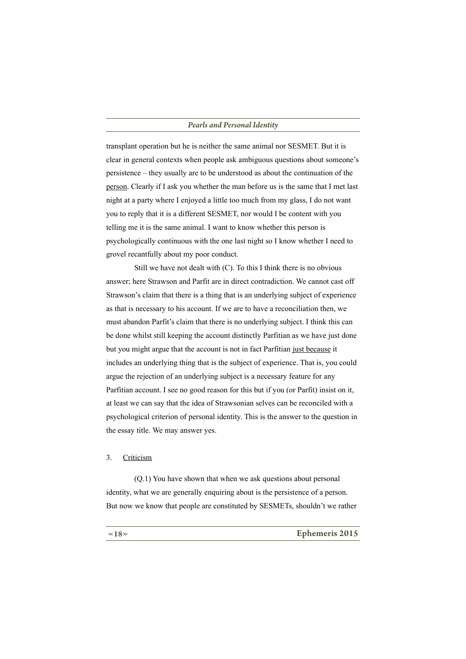transplant operation but he is neither the same animal nor SESMET. But it is clear in general contexts when people ask ambiguous questions about someone's persistence – they usually are to be understood as about the continuation of the person. Clearly if I ask you whether the man before us is the same that I met last night at a party where I enjoyed a little too much from my glass, I do not want you to reply that it is a different SESMET, nor would I be content with you telling me it is the same animal. I want to know whether this person is psychologically continuous with the one last night so I know whether I need to grovel recantfully about my poor conduct.

Still we have not dealt with (C). To this I think there is no obvious answer; here Strawson and Parfit are in direct contradiction. We cannot cast off Strawson's claim that there is a thing that is an underlying subject of experience as that is necessary to his account. If we are to have a reconciliation then, we must abandon Parfit's claim that there is no underlying subject. I think this can be done whilst still keeping the account distinctly Parfitian as we have just done but you might argue that the account is not in fact Parfitian just because it includes an underlying thing that is the subject of experience. That is, you could argue the rejection of an underlying subject is a necessary feature for any Parfitian account. I see no good reason for this but if you (or Parfit) insist on it, at least we can say that the idea of Strawsonian selves can be reconciled with a psychological criterion of personal identity. This is the answer to the question in the essay title. We may answer yes.

#### $\overline{3}$ . Criticism

 $(0.1)$  You have shown that when we ask questions about personal identity, what we are generally enquiring about is the persistence of a person. But now we know that people are constituted by SESMETs, shouldn't we rather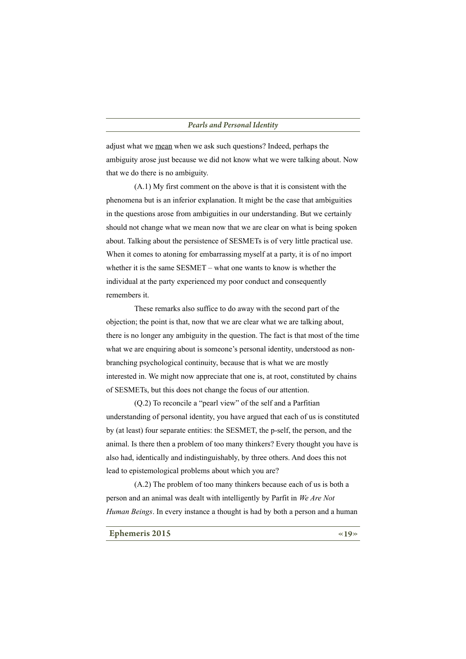adjust what we mean when we ask such questions? Indeed, perhaps the ambiguity arose just because we did not know what we were talking about. Now that we do there is no ambiguity.

 $(A,1)$  My first comment on the above is that it is consistent with the phenomena but is an inferior explanation. It might be the case that ambiguities in the questions arose from ambiguities in our understanding. But we certainly should not change what we mean now that we are clear on what is being spoken about. Talking about the persistence of SESMETs is of very little practical use. When it comes to atoning for embarrassing myself at a party, it is of no import whether it is the same  $SESMET - what$  one wants to know is whether the individual at the party experienced my poor conduct and consequently remembers it.

These remarks also suffice to do away with the second part of the objection; the point is that, now that we are clear what we are talking about, there is no longer any ambiguity in the question. The fact is that most of the time what we are enquiring about is someone's personal identity, understood as nonbranching psychological continuity, because that is what we are mostly interested in. We might now appreciate that one is, at root, constituted by chains of SESMETs, but this does not change the focus of our attention.

 $(Q.2)$  To reconcile a "pearl view" of the self and a Parfitian understanding of personal identity, you have argued that each of us is constituted by (at least) four separate entities: the SESMET, the p-self, the person, and the animal. Is there then a problem of too many thinkers? Every thought you have is also had, identically and indistinguishably, by three others. And does this not lead to epistemological problems about which you are?

(A.2) The problem of too many thinkers because each of us is both a person and an animal was dealt with intelligently by Parfit in We Are Not *Human Beings*. In every instance a thought is had by both a person and a human